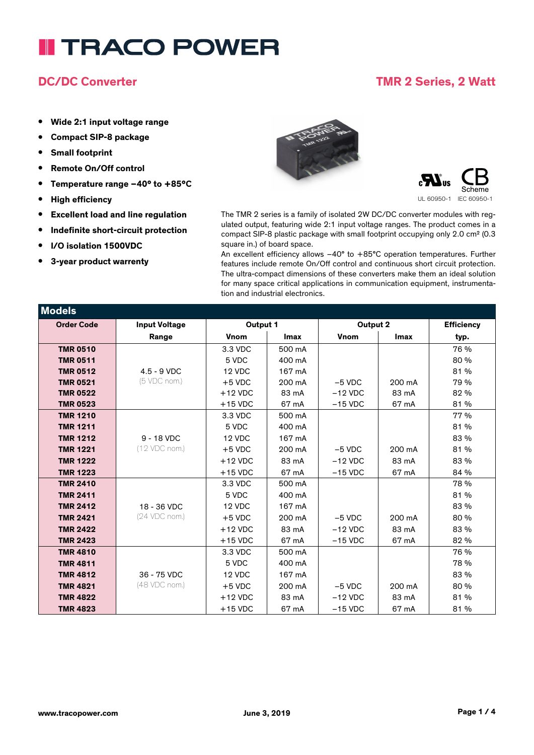## **DC/DC Converter TMR 2 Series, 2 Watt**

- **• Wide 2:1 input voltage range**
- **• Compact SIP-8 package**
- **• Small footprint**
- **• Remote On/Off control**
- **• Temperature range –40° to +85°C**
- **• High efficiency**
- **• Excellent load and line regulation**
- **• Indefinite short-circuit protection**
- **• I/O isolation 1500VDC**
- **• 3-year product warrenty**





The TMR 2 series is a family of isolated 2W DC/DC converter modules with regulated output, featuring wide 2:1 input voltage ranges. The product comes in a compact SIP-8 plastic package with small footprint occupying only 2.0 cm² (0.3 square in.) of board space.

An excellent efficiency allows –40° to +85°C operation temperatures. Further features include remote On/Off control and continuous short circuit protection. The ultra-compact dimensions of these converters make them an ideal solution for many space critical applications in communication equipment, instrumentation and industrial electronics.

| Models            |                      |             |             |             |        |                   |
|-------------------|----------------------|-------------|-------------|-------------|--------|-------------------|
| <b>Order Code</b> | <b>Input Voltage</b> | Output 1    |             | Output 2    |        | <b>Efficiency</b> |
|                   | Range                | <b>Vnom</b> | <b>Imax</b> | <b>Vnom</b> | Imax   | typ.              |
| <b>TMR 0510</b>   |                      | 3.3 VDC     | 500 mA      |             |        | 76 %              |
| <b>TMR 0511</b>   |                      | 5 VDC       | 400 mA      |             |        | 80 %              |
| <b>TMR 0512</b>   | $4.5 - 9$ VDC        | 12 VDC      | 167 mA      |             |        | 81 %              |
| <b>TMR 0521</b>   | (5 VDC nom.)         | $+5$ VDC    | 200 mA      | $-5$ VDC    | 200 mA | 79 %              |
| <b>TMR 0522</b>   |                      | $+12$ VDC   | 83 mA       | $-12$ VDC   | 83 mA  | 82 %              |
| <b>TMR 0523</b>   |                      | $+15$ VDC   | 67 mA       | $-15$ VDC   | 67 mA  | 81 %              |
| <b>TMR 1210</b>   |                      | 3.3 VDC     | 500 mA      |             |        | 77 %              |
| <b>TMR 1211</b>   |                      | 5 VDC       | 400 mA      |             |        | 81 %              |
| <b>TMR 1212</b>   | $9 - 18$ VDC         | 12 VDC      | 167 mA      |             |        | 83 %              |
| <b>TMR 1221</b>   | (12 VDC nom.)        | $+5$ VDC    | 200 mA      | $-5$ VDC    | 200 mA | 81 %              |
| <b>TMR 1222</b>   |                      | $+12$ VDC   | 83 mA       | $-12$ VDC   | 83 mA  | 83 %              |
| <b>TMR 1223</b>   |                      | $+15$ VDC   | 67 mA       | $-15$ VDC   | 67 mA  | 84 %              |
| <b>TMR 2410</b>   |                      | 3.3 VDC     | 500 mA      |             |        | 78 %              |
| <b>TMR 2411</b>   |                      | 5 VDC       | 400 mA      |             |        | 81 %              |
| <b>TMR 2412</b>   | 18 - 36 VDC          | 12 VDC      | 167 mA      |             |        | 83 %              |
| <b>TMR 2421</b>   | (24 VDC nom.)        | $+5$ VDC    | 200 mA      | $-5$ VDC    | 200 mA | 80 %              |
| <b>TMR 2422</b>   |                      | $+12$ VDC   | 83 mA       | $-12$ VDC   | 83 mA  | 83 %              |
| <b>TMR 2423</b>   |                      | $+15$ VDC   | 67 mA       | $-15$ VDC   | 67 mA  | 82 %              |
| <b>TMR 4810</b>   |                      | 3.3 VDC     | 500 mA      |             |        | 76 %              |
| <b>TMR 4811</b>   |                      | 5 VDC       | 400 mA      |             |        | 78 %              |
| <b>TMR 4812</b>   | 36 - 75 VDC          | 12 VDC      | 167 mA      |             |        | 83 %              |
| <b>TMR 4821</b>   | (48 VDC nom.)        | $+5$ VDC    | 200 mA      | $-5$ VDC    | 200 mA | 80 %              |
| <b>TMR 4822</b>   |                      | $+12$ VDC   | 83 mA       | $-12$ VDC   | 83 mA  | 81 %              |
| <b>TMR 4823</b>   |                      | $+15$ VDC   | 67 mA       | $-15$ VDC   | 67 mA  | 81 %              |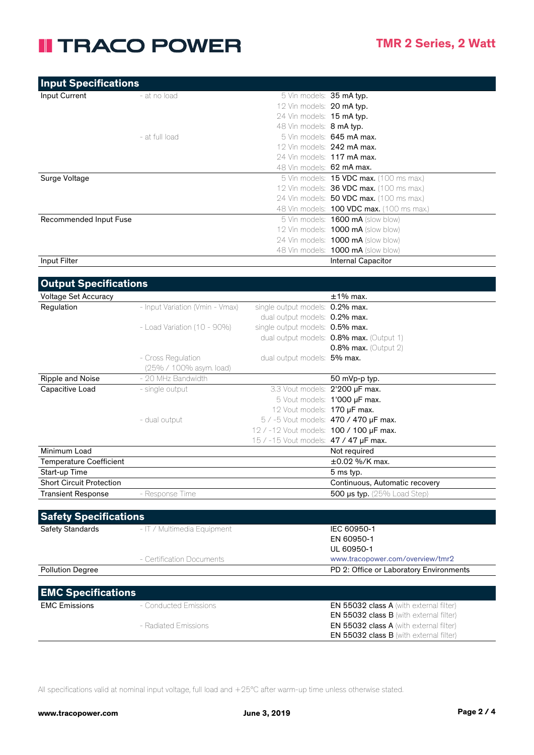| <b>Input Specifications</b> |                |                                                  |  |
|-----------------------------|----------------|--------------------------------------------------|--|
| Input Current               | - at no load   | 5 Vin models: <b>35 mA typ.</b>                  |  |
|                             |                | 12 Vin models: 20 mA typ.                        |  |
|                             |                | 24 Vin models: 15 mA typ.                        |  |
|                             |                | 48 Vin models: <b>8 mA typ.</b>                  |  |
|                             | - at full load | 5 Vin models: 645 mA max.                        |  |
|                             |                | 12 Vin models: $242$ mA max.                     |  |
|                             |                | 24 Vin models: 117 mA max.                       |  |
|                             |                | 48 Vin models: 62 mA max.                        |  |
| Surge Voltage               |                | 5 Vin models: <b>15 VDC max.</b> (100 ms max.)   |  |
|                             |                | 12 Vin models: <b>36 VDC max.</b> (100 ms max.)  |  |
|                             |                | 24 Vin models: <b>50 VDC max.</b> (100 ms max.)  |  |
|                             |                | 48 Vin models: <b>100 VDC max.</b> (100 ms max.) |  |
| Recommended Input Fuse      |                | 5 Vin models: <b>1600 mA</b> (slow blow)         |  |
|                             |                | 12 Vin models: <b>1000 mA</b> (slow blow)        |  |
|                             |                | 24 Vin models: 1000 mA (slow blow)               |  |
|                             |                | 48 Vin models: 1000 mA (slow blow)               |  |
| Input Filter                |                | <b>Internal Capacitor</b>                        |  |

| <b>Output Specifications</b>    |                                 |                                         |                                                |
|---------------------------------|---------------------------------|-----------------------------------------|------------------------------------------------|
| <b>Voltage Set Accuracy</b>     |                                 |                                         | $±1\%$ max.                                    |
| Regulation                      | - Input Variation (Vmin - Vmax) | single output models: 0.2% max.         |                                                |
|                                 |                                 | dual output models: 0.2% max.           |                                                |
|                                 | $-$ Load Variation (10 - 90%)   | single output models: 0.5% max.         |                                                |
|                                 |                                 |                                         | dual output models: 0.8% max. (Output 1)       |
|                                 |                                 |                                         | 0.8% max. (Output 2)                           |
|                                 | - Cross Regulation              | dual output models: 5% max.             |                                                |
|                                 | (25% / 100% asym. load)         |                                         |                                                |
| Ripple and Noise                | - 20 MHz Bandwidth              |                                         | 50 mVp-p typ.                                  |
| Capacitive Load                 | - single output                 | 3.3 Vout models: 2'200 µF max.          |                                                |
|                                 |                                 |                                         | 5 Vout models: 1'000 µF max.                   |
|                                 |                                 | 12 Vout models: 170 µF max.             |                                                |
|                                 | - dual output                   |                                         | 5 / -5 Vout models: 470 / 470 µF max.          |
|                                 |                                 | 12 / -12 Vout models: 100 / 100 µF max. |                                                |
|                                 |                                 | 15 / -15 Vout models: 47 / 47 µF max.   |                                                |
| Minimum Load                    |                                 |                                         | Not required                                   |
| <b>Temperature Coefficient</b>  |                                 |                                         | ±0.02 %/K max.                                 |
| Start-up Time                   |                                 |                                         | 5 ms typ.                                      |
| <b>Short Circuit Protection</b> |                                 |                                         | Continuous, Automatic recovery                 |
| <b>Transient Response</b>       | - Response Time                 |                                         | 500 µs typ. (25% Load Step)                    |
|                                 |                                 |                                         |                                                |
| <b>Safety Specifications</b>    |                                 |                                         |                                                |
| Safety Standards                | - IT / Multimedia Equipment     |                                         | IEC 60950-1                                    |
|                                 |                                 |                                         | EN 60950-1                                     |
|                                 |                                 |                                         | UL 60950-1                                     |
|                                 | - Certification Documents       |                                         | www.tracopower.com/overview/tmr2               |
| <b>Pollution Degree</b>         |                                 |                                         | PD 2: Office or Laboratory Environments        |
|                                 |                                 |                                         |                                                |
| <b>EMC Specifications</b>       |                                 |                                         |                                                |
| <b>EMC Emissions</b>            | - Conducted Emissions           |                                         | EN 55032 class A (with external filter)        |
|                                 |                                 |                                         | <b>EN 55032 class B</b> (with external filter) |
|                                 | - Radiated Emissions            |                                         | <b>EN 55032 class A</b> (with external filter) |
|                                 |                                 |                                         | <b>EN 55032 class B</b> (with external filter) |

All specifications valid at nominal input voltage, full load and +25°C after warm-up time unless otherwise stated.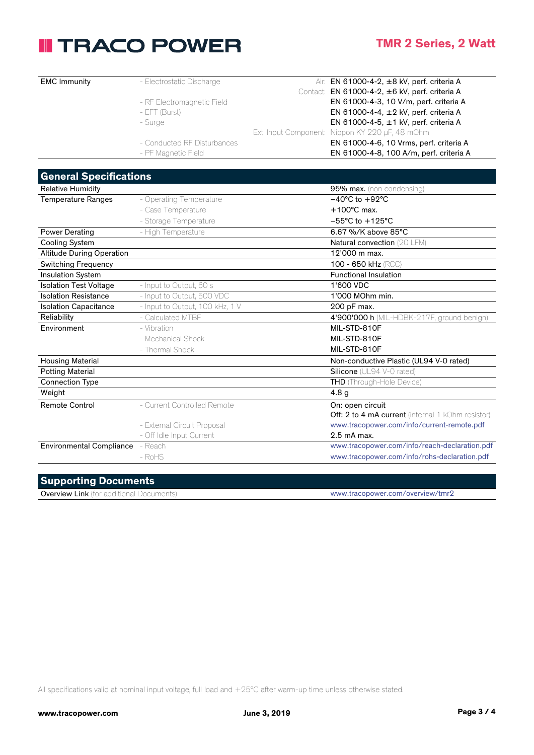### **TMR 2 Series, 2 Watt**

| <b>EMC Immunity</b>              | - Electrostatic Discharge       | Air: EN 61000-4-2, ±8 kV, perf. criteria A        |
|----------------------------------|---------------------------------|---------------------------------------------------|
|                                  |                                 | Contact: EN 61000-4-2, ±6 kV, perf. criteria A    |
|                                  | - RF Electromagnetic Field      | EN 61000-4-3, 10 V/m, perf. criteria A            |
|                                  | - EFT (Burst)                   | EN 61000-4-4, ±2 kV, perf. criteria A             |
|                                  | - Surge                         | EN 61000-4-5, ±1 kV, perf. criteria A             |
|                                  |                                 | Ext. Input Component: Nippon KY 220 µF, 48 mOhm   |
|                                  | - Conducted RF Disturbances     | EN 61000-4-6, 10 Vrms, perf. criteria A           |
|                                  | - PF Magnetic Field             | EN 61000-4-8, 100 A/m, perf. criteria A           |
|                                  |                                 |                                                   |
| <b>General Specifications</b>    |                                 |                                                   |
| <b>Relative Humidity</b>         |                                 | 95% max. (non condensing)                         |
| <b>Temperature Ranges</b>        | - Operating Temperature         | $-40^{\circ}$ C to $+92^{\circ}$ C                |
|                                  | - Case Temperature              | $+100^{\circ}$ C max.                             |
|                                  | - Storage Temperature           | $-55^{\circ}$ C to $+125^{\circ}$ C               |
| <b>Power Derating</b>            | - High Temperature              | 6.67 %/K above 85°C                               |
| <b>Cooling System</b>            |                                 | Natural convection (20 LFM)                       |
| <b>Altitude During Operation</b> |                                 | 12'000 m max.                                     |
| <b>Switching Frequency</b>       |                                 | 100 - 650 kHz (RCC)                               |
| Insulation System                |                                 | <b>Functional Insulation</b>                      |
| <b>Isolation Test Voltage</b>    | - Input to Output, 60 s         | 1'600 VDC                                         |
| <b>Isolation Resistance</b>      | - Input to Output, 500 VDC      | 1'000 MOhm min.                                   |
| <b>Isolation Capacitance</b>     | - Input to Output, 100 kHz, 1 V | 200 pF max.                                       |
| Reliability                      | - Calculated MTBF               | 4'900'000 h (MIL-HDBK-217F, ground benign)        |
| Environment                      | - Vibration                     | MIL-STD-810F                                      |
|                                  | - Mechanical Shock              | MIL-STD-810F                                      |
|                                  | - Thermal Shock                 | MIL-STD-810F                                      |
| <b>Housing Material</b>          |                                 | Non-conductive Plastic (UL94 V-0 rated)           |
| <b>Potting Material</b>          |                                 | Silicone (UL94 V-0 rated)                         |
| <b>Connection Type</b>           |                                 | THD (Through-Hole Device)                         |
| Weight                           |                                 | 4.8 <sub>g</sub>                                  |
| <b>Remote Control</b>            | - Current Controlled Remote     | On: open circuit                                  |
|                                  |                                 | Off: 2 to 4 mA current (internal 1 kOhm resistor) |
|                                  | - External Circuit Proposal     | www.tracopower.com/info/current-remote.pdf        |
|                                  | - Off Idle Input Current        | 2.5 mA max.                                       |
| Environmental Compliance - Reach |                                 | www.tracopower.com/info/reach-declaration.pdf     |
|                                  | $-RoHS$                         | www.tracopower.com/info/rohs-declaration.pdf      |
|                                  |                                 |                                                   |
|                                  |                                 |                                                   |

#### **Supporting Documents**

Overview Link (for additional Documents) www.tracopower.com/overview/tmr2

All specifications valid at nominal input voltage, full load and +25°C after warm-up time unless otherwise stated.